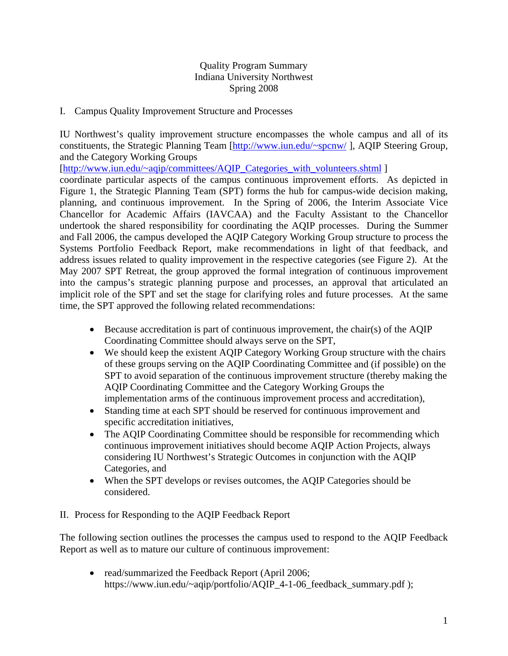### Quality Program Summary Indiana University Northwest Spring 2008

I. Campus Quality Improvement Structure and Processes

IU Northwest's quality improvement structure encompasses the whole campus and all of its constituents, the Strategic Planning Team [\[http://www.iun.edu/~spcnw/](http://www.iun.edu/%7Espcnw/) ], AQIP Steering Group, and the Category Working Groups

[[http://www.iun.edu/~aqip/committees/AQIP\\_Categories\\_with\\_volunteers.shtml](http://www.iun.edu/%7Eaqip/committees/AQIP_Categories_with_volunteers.shtml) ]

coordinate particular aspects of the campus continuous improvement efforts. As depicted in Figure 1, the Strategic Planning Team (SPT) forms the hub for campus-wide decision making, planning, and continuous improvement. In the Spring of 2006, the Interim Associate Vice Chancellor for Academic Affairs (IAVCAA) and the Faculty Assistant to the Chancellor undertook the shared responsibility for coordinating the AQIP processes. During the Summer and Fall 2006, the campus developed the AQIP Category Working Group structure to process the Systems Portfolio Feedback Report, make recommendations in light of that feedback, and address issues related to quality improvement in the respective categories (see Figure 2). At the May 2007 SPT Retreat, the group approved the formal integration of continuous improvement into the campus's strategic planning purpose and processes, an approval that articulated an implicit role of the SPT and set the stage for clarifying roles and future processes. At the same time, the SPT approved the following related recommendations:

- Because accreditation is part of continuous improvement, the chair(s) of the AQIP Coordinating Committee should always serve on the SPT,
- We should keep the existent AQIP Category Working Group structure with the chairs of these groups serving on the AQIP Coordinating Committee and (if possible) on the SPT to avoid separation of the continuous improvement structure (thereby making the AQIP Coordinating Committee and the Category Working Groups the implementation arms of the continuous improvement process and accreditation),
- Standing time at each SPT should be reserved for continuous improvement and specific accreditation initiatives,
- The AQIP Coordinating Committee should be responsible for recommending which continuous improvement initiatives should become AQIP Action Projects, always considering IU Northwest's Strategic Outcomes in conjunction with the AQIP Categories, and
- When the SPT develops or revises outcomes, the AQIP Categories should be considered.

### II. Process for Responding to the AQIP Feedback Report

The following section outlines the processes the campus used to respond to the AQIP Feedback Report as well as to mature our culture of continuous improvement:

• read/summarized the Feedback Report (April 2006; [https://www.iun.edu/~aqip/portfolio/AQIP\\_4-1-06\\_feedback\\_summary.pdf](https://www.iun.edu/%7Eaqip/portfolio/AQIP_4-1-06_feedback_summary.pdf) );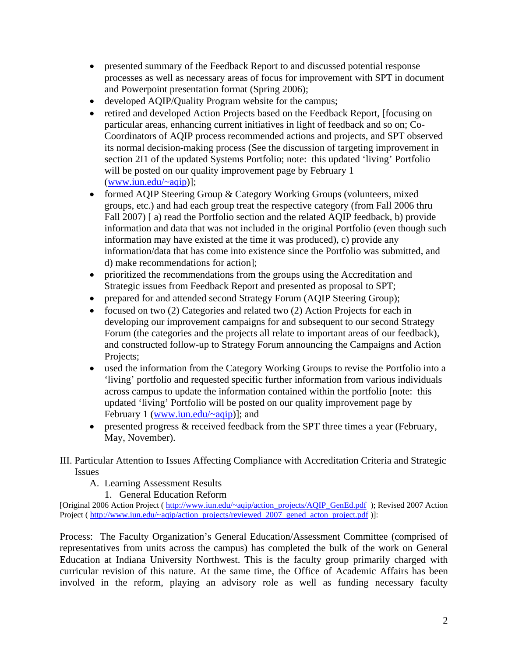- presented summary of the Feedback Report to and discussed potential response processes as well as necessary areas of focus for improvement with SPT in document and Powerpoint presentation format (Spring 2006);
- developed [AQIP/Quality Program website](http://www.iun.edu/%7Eaqip/) for the campus;
- retired and [developed](http://www.iun.edu/%7Eaqip/action_projects/) Action Projects based on the Feedback Report, [focusing on particular areas, enhancing current initiatives in light of feedback and so on; Co-Coordinators of AQIP process recommended actions and projects, and SPT observed its normal decision-making process (See the discussion of targeting improvement in section 2I1 of the updated Systems Portfolio; note: this updated 'living' Portfolio will be posted on our quality improvement page by February 1 ([www.iun.edu/~aqip](http://www.iun.edu/%7Eaqip))];
- formed [AQIP Steering Group & Category Working Groups](http://www.iun.edu/%7Eaqip/members/Structure_aqip_groups.pdf) (volunteers, mixed groups, etc.) and had each group treat the respective category (from Fall 2006 thru Fall 2007) [ a) read the Portfolio section and the related AQIP feedback, b) provide information and data that was not included in the original Portfolio (even though such information may have existed at the time it was produced), c) provide any information/data that has come into existence since the Portfolio was submitted, and d) make recommendations for action];
- prioritized the recommendations from the groups using the Accreditation and Strategic issues from Feedback Report and presented as proposal to SPT;
- prepared for and attended second Strategy Forum (AQIP Steering Group);
- focused on two (2) Categories and related two (2) Action Projects for each in developing our improvement campaigns for and subsequent to our second Strategy Forum (the categories and the projects all relate to important areas of our feedback), and constructed follow-up to Strategy Forum announcing the Campaigns and Action Projects;
- used the information from the Category Working Groups to revise the Portfolio into a 'living' portfolio and requested specific further information from various individuals across campus to update the information contained within the portfolio [note: this updated 'living' Portfolio will be posted on our quality improvement page by February 1 (www.iun.edu/ $\sim$ aqip)]; and
- presented progress  $\&$  received feedback from the SPT three times a year (February, May, November).

### III. Particular Attention to Issues Affecting Compliance with Accreditation Criteria and Strategic Issues

- A. Learning Assessment Results
	- 1. General Education Reform

[Original 2006 Action Project ( [http://www.iun.edu/~aqip/action\\_projects/AQIP\\_GenEd.pdf](http://www.iun.edu/%7Eaqip/action_projects/AQIP_GenEd.pdf) ); Revised 2007 Action Project ( [http://www.iun.edu/~aqip/action\\_projects/reviewed\\_2007\\_gened\\_acton\\_project.pdf](http://www.iun.edu/%7Eaqip/action_projects/reviewed_2007_gened_acton_project.pdf) )]:

Process: The Faculty Organization's General Education/Assessment Committee (comprised of representatives from units across the campus) has completed the bulk of the work on General Education at Indiana University Northwest. This is the faculty group primarily charged with curricular revision of this nature. At the same time, the Office of Academic Affairs has been involved in the reform, playing an advisory role as well as funding necessary faculty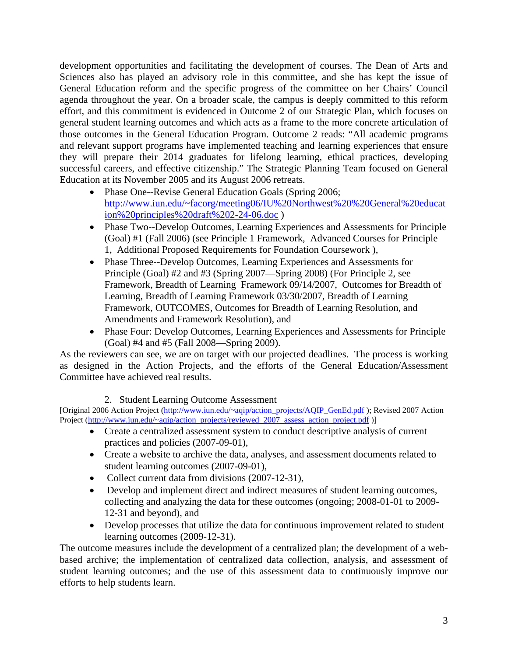development opportunities and facilitating the development of courses. The Dean of Arts and Sciences also has played an advisory role in this committee, and she has kept the issue of General Education reform and the specific progress of the committee on her Chairs' Council agenda throughout the year. On a broader scale, the campus is deeply committed to this reform effort, and this commitment is evidenced in Outcome 2 of our Strategic Plan, which focuses on general student learning outcomes and which acts as a frame to the more concrete articulation of those outcomes in the General Education Program. Outcome 2 reads: "All academic programs and relevant support programs have implemented teaching and learning experiences that ensure they will prepare their 2014 graduates for lifelong learning, ethical practices, developing successful careers, and effective citizenship." The Strategic Planning Team focused on General Education at its November 2005 and its August 2006 retreats.

- Phase One--Revise General Education Goals (Spring 2006; [http://www.iun.edu/~facorg/meeting06/IU%20Northwest%20%20General%20educat](http://www.iun.edu/%7Efacorg/meeting06/IU%20Northwest%20%20General%20education%20principles%20draft%202-24-06.doc) [ion%20principles%20draft%202-24-06.doc](http://www.iun.edu/%7Efacorg/meeting06/IU%20Northwest%20%20General%20education%20principles%20draft%202-24-06.doc) )
- Phase Two--Develop Outcomes, Learning Experiences and Assessments for Principle (Goal) #1 (Fall 2006) (see [Principle 1 Framework,](http://www.iun.edu/%7Efacorg/meeting06/Principle%201%20%20Framework%2010%2013%202006.doc) [Advanced Courses for Principle](http://www.iun.edu/%7Efacorg/meeting06/ADVANCED%20COURSES%20for%20PRINCIPLE%201%20domains%2010%2013%202006%20DRAFT.doc)  [1](http://www.iun.edu/%7Efacorg/meeting06/ADVANCED%20COURSES%20for%20PRINCIPLE%201%20domains%2010%2013%202006%20DRAFT.doc), [Additional Proposed Requirements for Foundation Coursework](http://www.iun.edu/%7Efacorg/meeting06/additional%20proposed%20requirements%20for%20foundation%20courses%2010%2013%202006%20.doc) ),
- Phase Three--Develop Outcomes, Learning Experiences and Assessments for Principle (Goal) #2 and #3 (Spring 2007—Spring 2008) (For Principle 2, see [Framework](http://www.iun.edu/%7Efacorg/meeting07/breadth_of_learning_3-30-2007.doc), [Breadth of Learning Framework 09/14/2007,](http://www.iun.edu/%7Efacorg/meeting07/Breadth%20of%20Learning%20FRAMEWORK%209-14-2007.doc) [Outcomes for Breadth of](http://www.iun.edu/%7Efacorg/meeting07/Outcomes%20for%20Breadth%20of%20Learning%20for%20IUN%209-14-07.doc)  [Learning](http://www.iun.edu/%7Efacorg/meeting07/Outcomes%20for%20Breadth%20of%20Learning%20for%20IUN%209-14-07.doc), [Breadth of Learning Framework 03/30/2007,](http://www.iun.edu/%7Efacorg/meeting07/breadth_of_learning_FRAMEWORK3-30-2007.doc) [Breadth of Learning](http://www.iun.edu/%7Efacorg/meeting07/BreadthLearningFrameworkResolution.doc)  [Framework](http://www.iun.edu/%7Efacorg/meeting07/BreadthLearningFrameworkResolution.doc), [OUTCOMES](http://www.iun.edu/%7Efacorg/meeting07/OutcomesBreadthLearningRes10-12-07.doc), [Outcomes for Breadth of Learning Resolution](http://www.iun.edu/%7Efacorg/meeting07/OutcomesBreadthLearninResol11-02-07_1_.doc), and [Amendments and Framework Resolution\)](http://www.iun.edu/%7Efacorg/meeting07/GeneralEdPrinciplesAmendFRAMEWORK11+02+2007RESOL.doc), and
- Phase Four: Develop Outcomes, Learning Experiences and Assessments for Principle (Goal) #4 and #5 (Fall 2008—Spring 2009).

As the reviewers can see, we are on target with our projected deadlines. The process is working as designed in the Action Projects, and the efforts of the General Education/Assessment Committee have achieved real results.

2. Student Learning Outcome Assessment

[Original 2006 Action Project ([http://www.iun.edu/~aqip/action\\_projects/AQIP\\_GenEd.pdf](http://www.iun.edu/%7Eaqip/action_projects/AQIP_GenEd.pdf) ); Revised 2007 Action Project [\(http://www.iun.edu/~aqip/action\\_projects/reviewed\\_2007\\_assess\\_action\\_project.pdf](http://www.iun.edu/%7Eaqip/action_projects/reviewed_2007_assess_action_project.pdf) )]

- Create a centralized assessment system to conduct descriptive analysis of current practices and policies (2007-09-01),
- Create a website to archive the data, analyses, and assessment documents related to student learning outcomes (2007-09-01),
- Collect current data from divisions (2007-12-31),
- Develop and implement direct and indirect measures of student learning outcomes, collecting and analyzing the data for these outcomes (ongoing; 2008-01-01 to 2009- 12-31 and beyond), and
- Develop processes that utilize the data for continuous improvement related to student learning outcomes (2009-12-31).

The outcome measures include the development of a centralized plan; the development of a webbased archive; the implementation of centralized data collection, analysis, and assessment of student learning outcomes; and the use of this assessment data to continuously improve our efforts to help students learn.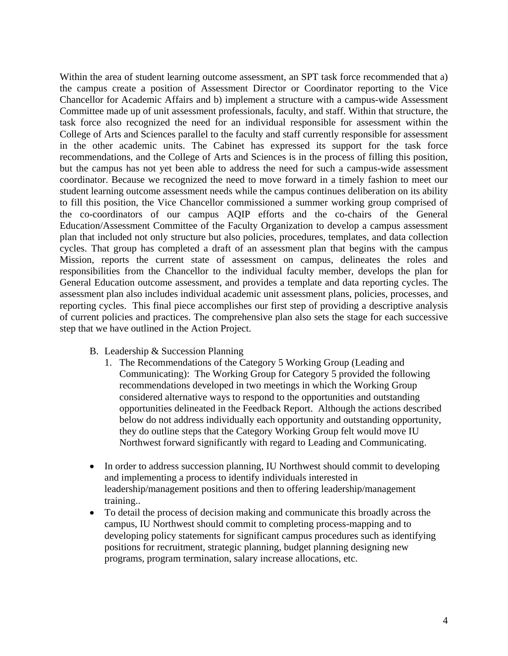Within the area of student learning outcome assessment, an SPT task force recommended that a) the campus create a position of Assessment Director or Coordinator reporting to the Vice Chancellor for Academic Affairs and b) implement a structure with a campus-wide Assessment Committee made up of unit assessment professionals, faculty, and staff. Within that structure, the task force also recognized the need for an individual responsible for assessment within the College of Arts and Sciences parallel to the faculty and staff currently responsible for assessment in the other academic units. The Cabinet has expressed its support for the task force recommendations, and the College of Arts and Sciences is in the process of filling this position, but the campus has not yet been able to address the need for such a campus-wide assessment coordinator. Because we recognized the need to move forward in a timely fashion to meet our student learning outcome assessment needs while the campus continues deliberation on its ability to fill this position, the Vice Chancellor commissioned a summer working group comprised of the co-coordinators of our campus AQIP efforts and the co-chairs of the General Education/Assessment Committee of the Faculty Organization to develop a campus assessment plan that included not only structure but also policies, procedures, templates, and data collection cycles. That group has completed a draft of an assessment plan that begins with the campus Mission, reports the current state of assessment on campus, delineates the roles and responsibilities from the Chancellor to the individual faculty member, develops the plan for General Education outcome assessment, and provides a template and data reporting cycles. The assessment plan also includes individual academic unit assessment plans, policies, processes, and reporting cycles. This final piece accomplishes our first step of providing a descriptive analysis of current policies and practices. The comprehensive plan also sets the stage for each successive step that we have outlined in the Action Project.

- B. Leadership & Succession Planning
	- 1. The Recommendations of the Category 5 Working Group (Leading and Communicating): The Working Group for Category 5 provided the following recommendations developed in two meetings in which the Working Group considered alternative ways to respond to the opportunities and outstanding opportunities delineated in the Feedback Report. Although the actions described below do not address individually each opportunity and outstanding opportunity, they do outline steps that the Category Working Group felt would move IU Northwest forward significantly with regard to Leading and Communicating.
- In order to address succession planning, IU Northwest should commit to developing and implementing a process to identify individuals interested in leadership/management positions and then to offering leadership/management training..
- To detail the process of decision making and communicate this broadly across the campus, IU Northwest should commit to completing process-mapping and to developing policy statements for significant campus procedures such as identifying positions for recruitment, strategic planning, budget planning designing new programs, program termination, salary increase allocations, etc.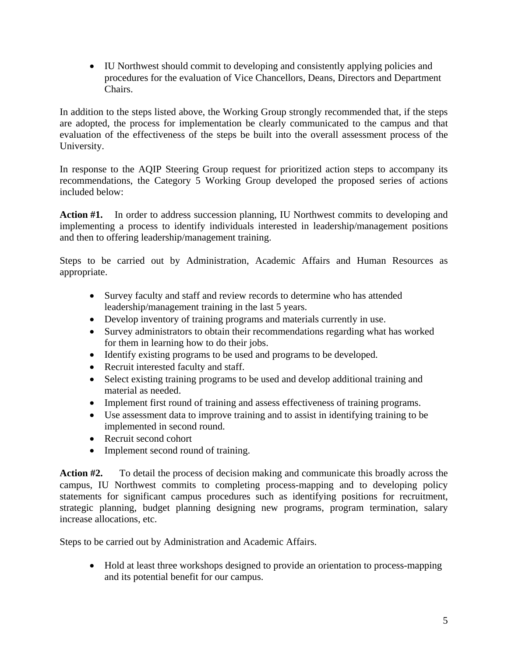• IU Northwest should commit to developing and consistently applying policies and procedures for the evaluation of Vice Chancellors, Deans, Directors and Department Chairs.

In addition to the steps listed above, the Working Group strongly recommended that, if the steps are adopted, the process for implementation be clearly communicated to the campus and that evaluation of the effectiveness of the steps be built into the overall assessment process of the University.

In response to the AQIP Steering Group request for prioritized action steps to accompany its recommendations, the Category 5 Working Group developed the proposed series of actions included below:

Action #1. In order to address succession planning, IU Northwest commits to developing and implementing a process to identify individuals interested in leadership/management positions and then to offering leadership/management training.

Steps to be carried out by Administration, Academic Affairs and Human Resources as appropriate.

- Survey faculty and staff and review records to determine who has attended leadership/management training in the last 5 years.
- Develop inventory of training programs and materials currently in use.
- Survey administrators to obtain their recommendations regarding what has worked for them in learning how to do their jobs.
- Identify existing programs to be used and programs to be developed.
- Recruit interested faculty and staff.
- Select existing training programs to be used and develop additional training and material as needed.
- Implement first round of training and assess effectiveness of training programs.
- Use assessment data to improve training and to assist in identifying training to be implemented in second round.
- Recruit second cohort
- Implement second round of training.

**Action #2.** To detail the process of decision making and communicate this broadly across the campus, IU Northwest commits to completing process-mapping and to developing policy statements for significant campus procedures such as identifying positions for recruitment, strategic planning, budget planning designing new programs, program termination, salary increase allocations, etc.

Steps to be carried out by Administration and Academic Affairs.

• Hold at least three workshops designed to provide an orientation to process-mapping and its potential benefit for our campus.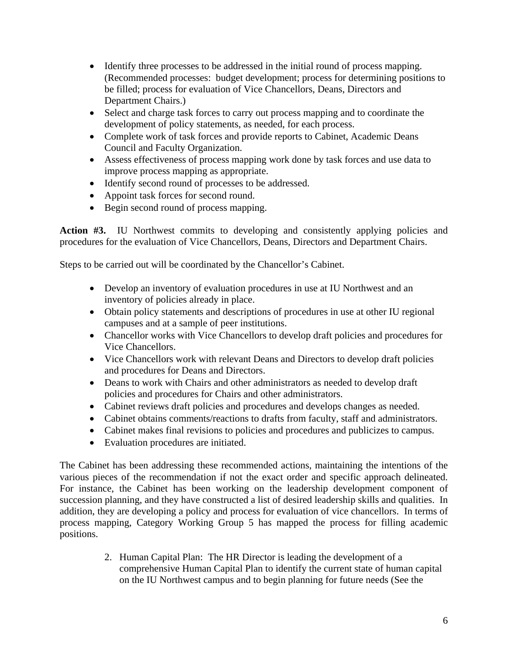- Identify three processes to be addressed in the initial round of process mapping. (Recommended processes: budget development; process for determining positions to be filled; process for evaluation of Vice Chancellors, Deans, Directors and Department Chairs.)
- Select and charge task forces to carry out process mapping and to coordinate the development of policy statements, as needed, for each process.
- Complete work of task forces and provide reports to Cabinet, Academic Deans Council and Faculty Organization.
- Assess effectiveness of process mapping work done by task forces and use data to improve process mapping as appropriate.
- Identify second round of processes to be addressed.
- Appoint task forces for second round.
- Begin second round of process mapping.

Action #3. IU Northwest commits to developing and consistently applying policies and procedures for the evaluation of Vice Chancellors, Deans, Directors and Department Chairs.

Steps to be carried out will be coordinated by the Chancellor's Cabinet.

- Develop an inventory of evaluation procedures in use at IU Northwest and an inventory of policies already in place.
- Obtain policy statements and descriptions of procedures in use at other IU regional campuses and at a sample of peer institutions.
- Chancellor works with Vice Chancellors to develop draft policies and procedures for Vice Chancellors.
- Vice Chancellors work with relevant Deans and Directors to develop draft policies and procedures for Deans and Directors.
- Deans to work with Chairs and other administrators as needed to develop draft policies and procedures for Chairs and other administrators.
- Cabinet reviews draft policies and procedures and develops changes as needed.
- Cabinet obtains comments/reactions to drafts from faculty, staff and administrators.
- Cabinet makes final revisions to policies and procedures and publicizes to campus.
- Evaluation procedures are initiated.

The Cabinet has been addressing these recommended actions, maintaining the intentions of the various pieces of the recommendation if not the exact order and specific approach delineated. For instance, the Cabinet has been working on the leadership development component of succession planning, and they have constructed a list of desired leadership skills and qualities. In addition, they are developing a policy and process for evaluation of vice chancellors. In terms of process mapping, Category Working Group 5 has mapped the process for filling academic positions.

> 2. Human Capital Plan: The HR Director is leading the development of a comprehensive Human Capital Plan to identify the current state of human capital on the IU Northwest campus and to begin planning for future needs (See the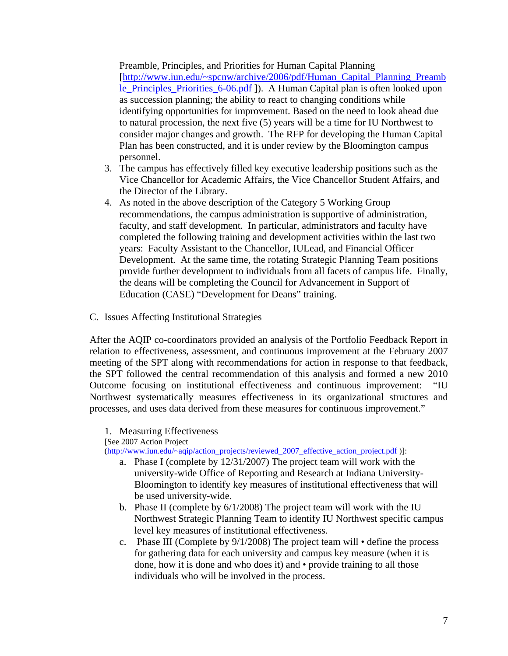Preamble, Principles, and Priorities for Human Capital Planning [[http://www.iun.edu/~spcnw/archive/2006/pdf/Human\\_Capital\\_Planning\\_Preamb](http://www.iun.edu/%7Espcnw/archive/2006/pdf/Human_Capital_Planning_Preamble_Principles_Priorities_6-06.pdf) [le\\_Principles\\_Priorities\\_6-06.pdf](http://www.iun.edu/%7Espcnw/archive/2006/pdf/Human_Capital_Planning_Preamble_Principles_Priorities_6-06.pdf) ]). A Human Capital plan is often looked upon as succession planning; the ability to react to changing conditions while identifying opportunities for improvement. Based on the need to look ahead due to natural procession, the next five (5) years will be a time for IU Northwest to consider major changes and growth. The RFP for developing the Human Capital Plan has been constructed, and it is under review by the Bloomington campus personnel.

- 3. The campus has effectively filled key executive leadership positions such as the Vice Chancellor for Academic Affairs, the Vice Chancellor Student Affairs, and the Director of the Library.
- 4. As noted in the above description of the Category 5 Working Group recommendations, the campus administration is supportive of administration, faculty, and staff development. In particular, administrators and faculty have completed the following training and development activities within the last two years: Faculty Assistant to the Chancellor, IULead, and Financial Officer Development. At the same time, the rotating Strategic Planning Team positions provide further development to individuals from all facets of campus life. Finally, the deans will be completing the Council for Advancement in Support of Education (CASE) "Development for Deans" training.
- C. Issues Affecting Institutional Strategies

After the AQIP co-coordinators provided an analysis of the Portfolio Feedback Report in relation to effectiveness, assessment, and continuous improvement at the February 2007 meeting of the SPT along with recommendations for action in response to that feedback, the SPT followed the central recommendation of this analysis and formed a new 2010 Outcome focusing on institutional effectiveness and continuous improvement: "IU Northwest systematically measures effectiveness in its organizational structures and processes, and uses data derived from these measures for continuous improvement."

1. Measuring Effectiveness

[See 2007 Action Project

[\(http://www.iun.edu/~aqip/action\\_projects/reviewed\\_2007\\_effective\\_action\\_project.pdf](http://www.iun.edu/%7Eaqip/action_projects/reviewed_2007_effective_action_project.pdf) )]:

- a. Phase I (complete by 12/31/2007) The project team will work with the university-wide Office of Reporting and Research at Indiana University-Bloomington to identify key measures of institutional effectiveness that will be used university-wide.
- b. Phase II (complete by 6/1/2008) The project team will work with the IU Northwest Strategic Planning Team to identify IU Northwest specific campus level key measures of institutional effectiveness.
- c. Phase III (Complete by 9/1/2008) The project team will define the process for gathering data for each university and campus key measure (when it is done, how it is done and who does it) and • provide training to all those individuals who will be involved in the process.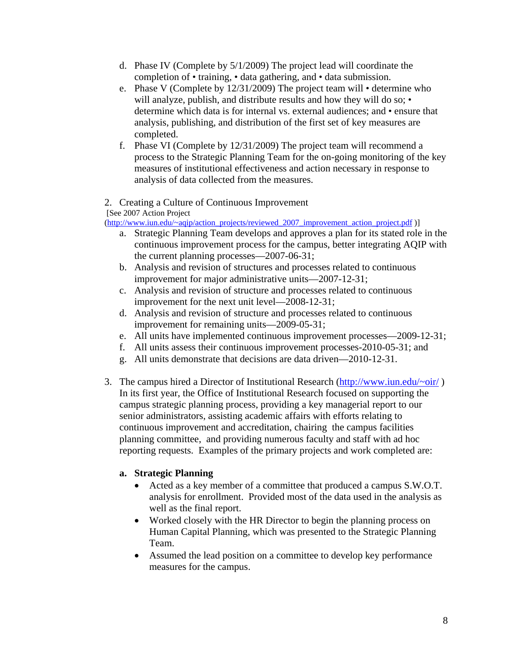- d. Phase IV (Complete by 5/1/2009) The project lead will coordinate the completion of • training, • data gathering, and • data submission.
- e. Phase V (Complete by 12/31/2009) The project team will determine who will analyze, publish, and distribute results and how they will do so; • determine which data is for internal vs. external audiences; and • ensure that analysis, publishing, and distribution of the first set of key measures are completed.
- f. Phase VI (Complete by 12/31/2009) The project team will recommend a process to the Strategic Planning Team for the on-going monitoring of the key measures of institutional effectiveness and action necessary in response to analysis of data collected from the measures.

### 2. Creating a Culture of Continuous Improvement

[See 2007 Action Project

[\(http://www.iun.edu/~aqip/action\\_projects/reviewed\\_2007\\_improvement\\_action\\_project.pdf](http://www.iun.edu/%7Eaqip/action_projects/reviewed_2007_improvement_action_project.pdf) )]

- a. Strategic Planning Team develops and approves a plan for its stated role in the continuous improvement process for the campus, better integrating AQIP with the current planning processes—2007-06-31;
- b. Analysis and revision of structures and processes related to continuous improvement for major administrative units—2007-12-31;
- c. Analysis and revision of structure and processes related to continuous improvement for the next unit level—2008-12-31;
- d. Analysis and revision of structure and processes related to continuous improvement for remaining units—2009-05-31;
- e. All units have implemented continuous improvement processes—2009-12-31;
- f. All units assess their continuous improvement processes-2010-05-31; and
- g. All units demonstrate that decisions are data driven—2010-12-31.
- 3. The campus hired a Director of Institutional Research  $\frac{http://www.ium.edu/~oir/)}$ In its first year, the Office of Institutional Research focused on supporting the campus strategic planning process, providing a key managerial report to our senior administrators, assisting academic affairs with efforts relating to continuous improvement and accreditation, chairing the campus facilities planning committee, and providing numerous faculty and staff with ad hoc reporting requests. Examples of the primary projects and work completed are:

#### **a. Strategic Planning**

- Acted as a key member of a committee that produced a campus S.W.O.T. analysis for enrollment. Provided most of the data used in the analysis as well as the final report.
- Worked closely with the HR Director to begin the planning process on Human Capital Planning, which was presented to the Strategic Planning Team.
- Assumed the lead position on a committee to develop key performance measures for the campus.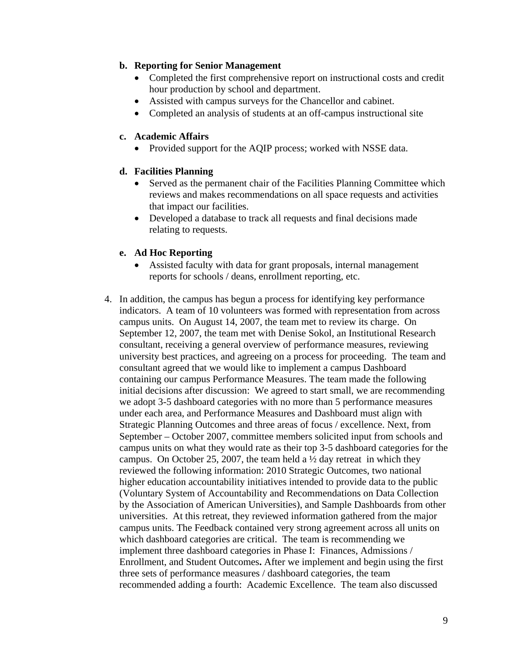### **b. Reporting for Senior Management**

- Completed the first comprehensive report on instructional costs and credit hour production by school and department.
- Assisted with campus surveys for the Chancellor and cabinet.
- Completed an analysis of students at an off-campus instructional site

#### **c. Academic Affairs**

• Provided support for the AQIP process; worked with NSSE data.

### **d. Facilities Planning**

- Served as the permanent chair of the Facilities Planning Committee which reviews and makes recommendations on all space requests and activities that impact our facilities.
- Developed a database to track all requests and final decisions made relating to requests.

### **e. Ad Hoc Reporting**

- Assisted faculty with data for grant proposals, internal management reports for schools / deans, enrollment reporting, etc.
- 4. In addition, the campus has begun a process for identifying key performance indicators. A team of 10 volunteers was formed with representation from across campus units. On August 14, 2007, the team met to review its charge. On September 12, 2007, the team met with Denise Sokol, an Institutional Research consultant, receiving a general overview of performance measures, reviewing university best practices, and agreeing on a process for proceeding. The team and consultant agreed that we would like to implement a campus Dashboard containing our campus Performance Measures. The team made the following initial decisions after discussion: We agreed to start small, we are recommending we adopt 3-5 dashboard categories with no more than 5 performance measures under each area, and Performance Measures and Dashboard must align with Strategic Planning Outcomes and three areas of focus / excellence. Next, from September – October 2007, committee members solicited input from schools and campus units on what they would rate as their top 3-5 dashboard categories for the campus. On October 25, 2007, the team held a  $\frac{1}{2}$  day retreat in which they reviewed the following information: 2010 Strategic Outcomes, two national higher education accountability initiatives intended to provide data to the public (Voluntary System of Accountability and Recommendations on Data Collection by the Association of American Universities), and Sample Dashboards from other universities. At this retreat, they reviewed information gathered from the major campus units. The Feedback contained very strong agreement across all units on which dashboard categories are critical. The team is recommending we implement three dashboard categories in Phase I: Finances, Admissions / Enrollment, and Student Outcomes**.** After we implement and begin using the first three sets of performance measures / dashboard categories, the team recommended adding a fourth: Academic Excellence. The team also discussed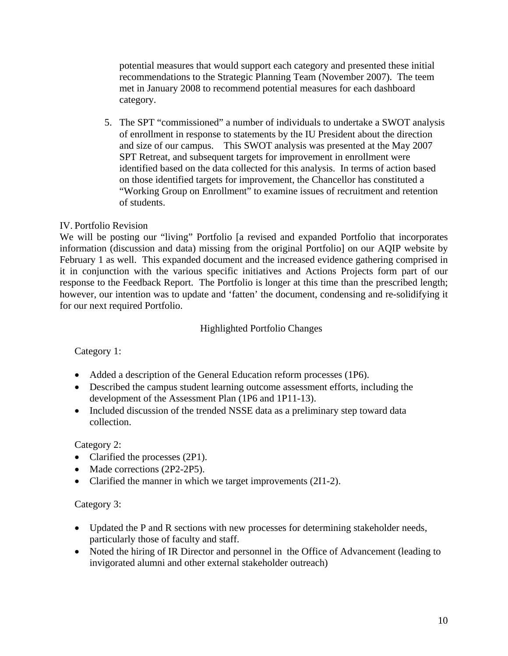potential measures that would support each category and presented these initial recommendations to the Strategic Planning Team (November 2007). The teem met in January 2008 to recommend potential measures for each dashboard category.

5. The SPT "commissioned" a number of individuals to undertake a SWOT analysis of enrollment in response to statements by the IU President about the direction and size of our campus. This SWOT analysis was presented at the May 2007 SPT Retreat, and subsequent targets for improvement in enrollment were identified based on the data collected for this analysis. In terms of action based on those identified targets for improvement, the Chancellor has constituted a "Working Group on Enrollment" to examine issues of recruitment and retention of students.

## IV. Portfolio Revision

We will be posting our "living" Portfolio [a revised and expanded Portfolio that incorporates information (discussion and data) missing from the original Portfolio] on our AQIP website by February 1 as well. This expanded document and the increased evidence gathering comprised in it in conjunction with the various specific initiatives and Actions Projects form part of our response to the Feedback Report. The Portfolio is longer at this time than the prescribed length; however, our intention was to update and 'fatten' the document, condensing and re-solidifying it for our next required Portfolio.

### Highlighted Portfolio Changes

Category 1:

- Added a description of the General Education reform processes (1P6).
- Described the campus student learning outcome assessment efforts, including the development of the Assessment Plan (1P6 and 1P11-13).
- Included discussion of the trended NSSE data as a preliminary step toward data collection.

Category 2:

- Clarified the processes (2P1).
- Made corrections (2P2-2P5).
- Clarified the manner in which we target improvements (2I1-2).

### Category 3:

- Updated the P and R sections with new processes for determining stakeholder needs, particularly those of faculty and staff.
- Noted the hiring of IR Director and personnel in the Office of Advancement (leading to invigorated alumni and other external stakeholder outreach)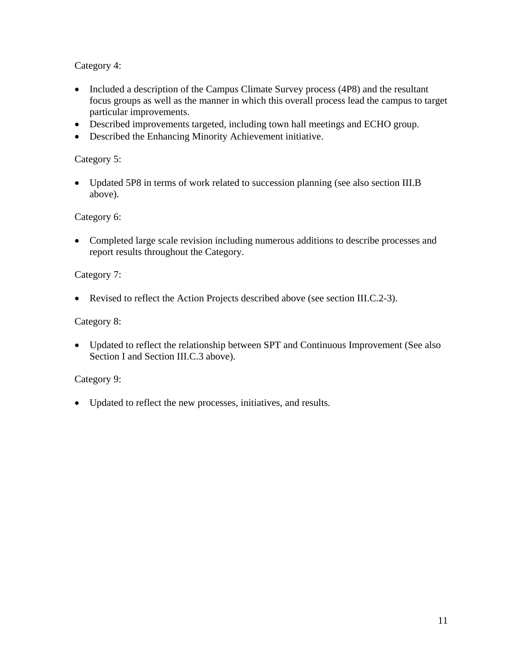Category 4:

- Included a description of the Campus Climate Survey process (4P8) and the resultant focus groups as well as the manner in which this overall process lead the campus to target particular improvements.
- Described improvements targeted, including town hall meetings and ECHO group.
- Described the Enhancing Minority Achievement initiative.

## Category 5:

• Updated 5P8 in terms of work related to succession planning (see also section III.B) above).

## Category 6:

• Completed large scale revision including numerous additions to describe processes and report results throughout the Category.

## Category 7:

• Revised to reflect the Action Projects described above (see section III.C.2-3).

# Category 8:

• Updated to reflect the relationship between SPT and Continuous Improvement (See also Section I and Section III.C.3 above).

# Category 9:

• Updated to reflect the new processes, initiatives, and results.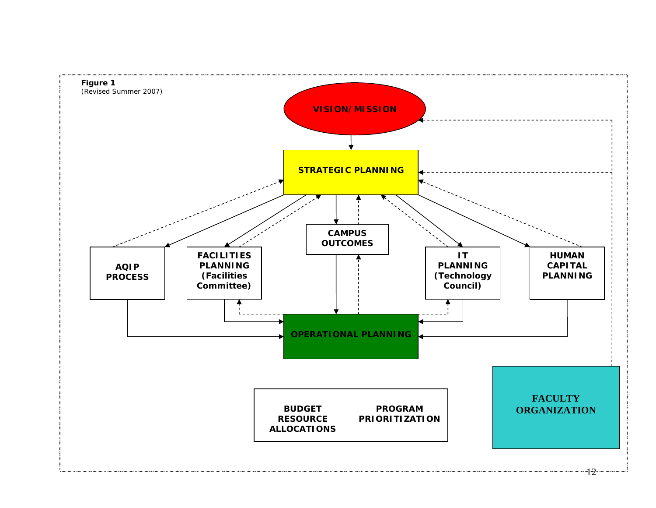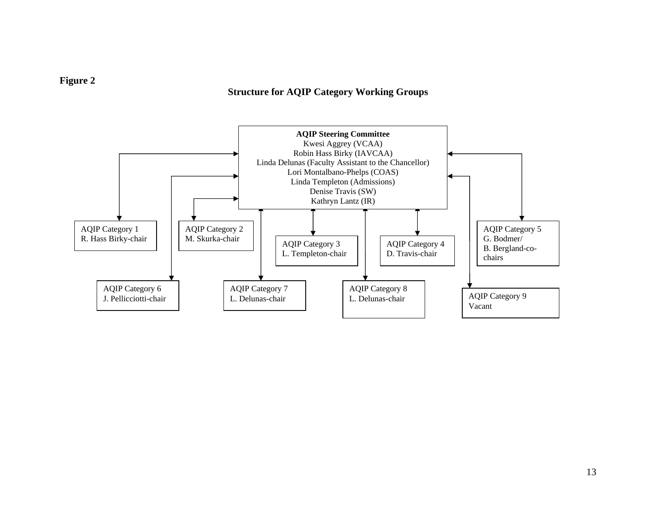#### **Structure for AQIP Category Working Groups**



### **Figure 2**